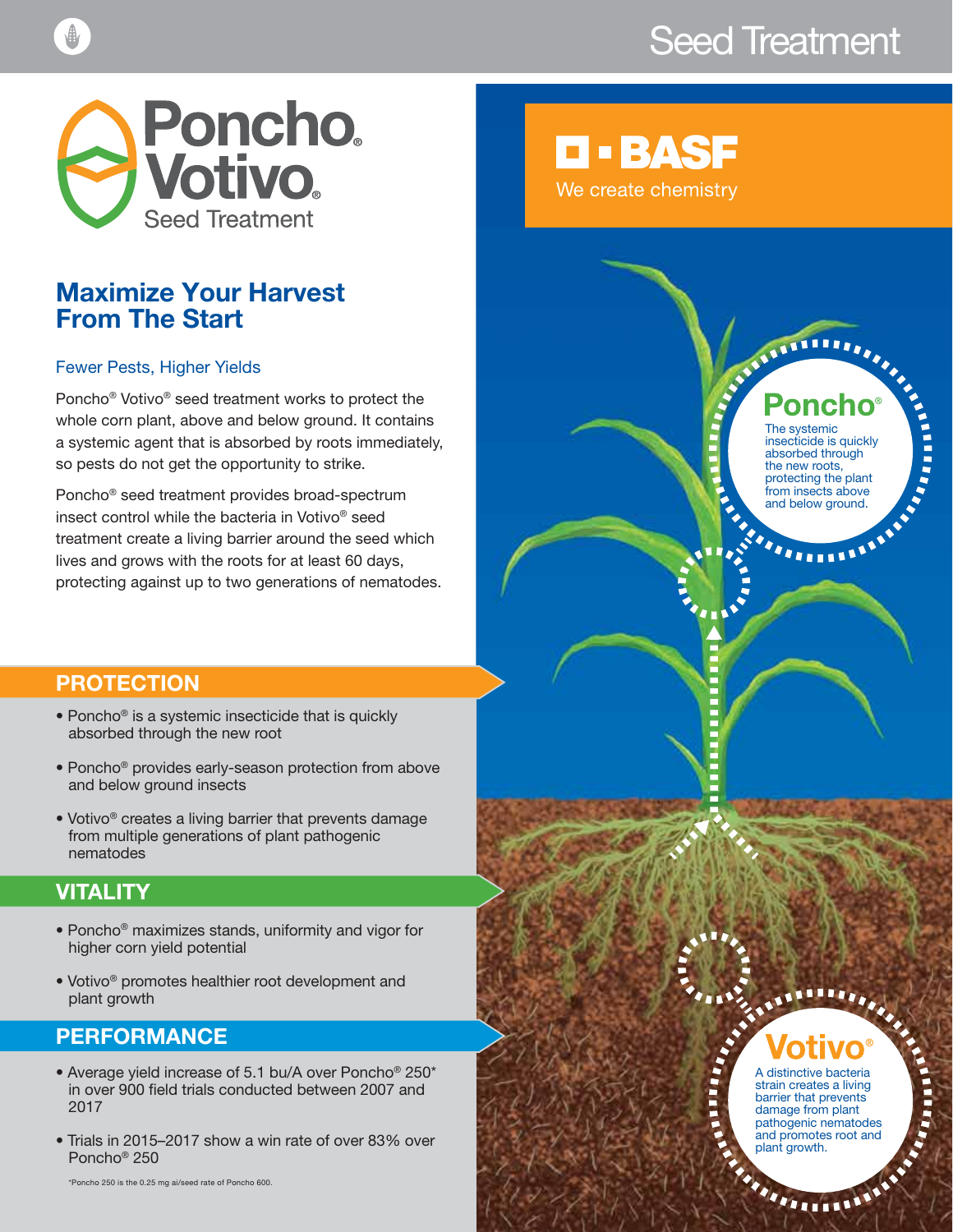# Seed Treatment



### Maximize Your Harvest From The Start

#### Fewer Pests, Higher Yields

Poncho® Votivo® seed treatment works to protect the whole corn plant, above and below ground. It contains a systemic agent that is absorbed by roots immediately, so pests do not get the opportunity to strike.

Poncho® seed treatment provides broad-spectrum insect control while the bacteria in Votivo® seed treatment create a living barrier around the seed which lives and grows with the roots for at least 60 days, protecting against up to two generations of nematodes.

# **D-BASF**

We create chemistry

The systemic insecticide is quickly absorbed through the new roots, protecting the plant from insects above and below ground.

A distinctive bacteria strain creates a living barrier that prevents damage from plant pathogenic nematodes and promotes root and

**THEFT** 

plant growth.

### PROTECTION

- Poncho® is a systemic insecticide that is quickly absorbed through the new root
- Poncho® provides early-season protection from above and below ground insects
- Votivo® creates a living barrier that prevents damage from multiple generations of plant pathogenic nematodes

### **VITALITY**

- Poncho® maximizes stands, uniformity and vigor for higher corn yield potential
- Votivo® promotes healthier root development and plant growth

### PERFORMANCE

- Average yield increase of 5.1 bu/A over Poncho® 250\* in over 900 field trials conducted between 2007 and 2017
- Trials in 2015–2017 show a win rate of over 83% over Poncho® 250

\*Poncho 250 is the 0.25 mg ai/seed rate of Poncho 600.